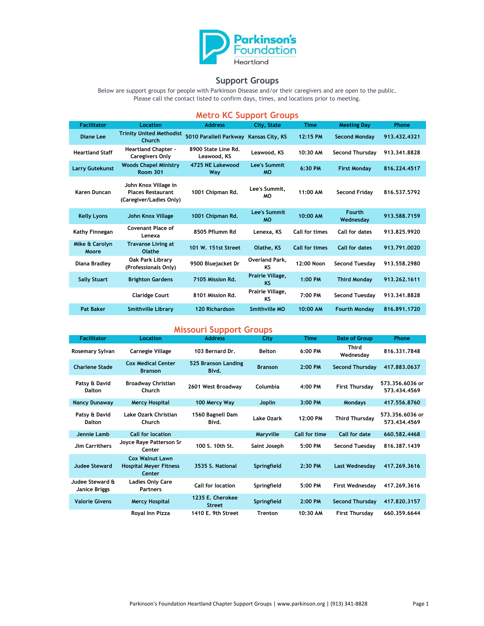

## **Support Groups**

Below are support groups for people with Parkinson Disease and/or their caregivers and are open to the public. Please call the contact listed to confirm days, times, and locations prior to meeting.

## **Metro KC Support Groups**

| <b>Facilitator</b>      | Location                                                                    | <b>Address</b>                         | City, State                   | <b>Time</b>           | <b>Meeting Day</b>         | Phone        |
|-------------------------|-----------------------------------------------------------------------------|----------------------------------------|-------------------------------|-----------------------|----------------------------|--------------|
| Diane Lee               | <b>Trinity United Methodist</b><br>Church                                   | 5010 Parallell Parkway Kansas City, KS |                               | 12:15 PM              | <b>Second Monday</b>       | 913.432.4321 |
| <b>Heartland Staff</b>  | <b>Heartland Chapter -</b><br><b>Caregivers Only</b>                        | 8900 State Line Rd.<br>Leawood, KS     | Leawood. KS                   | 10:30 AM              | Second Thursday            | 913.341.8828 |
| <b>Larry Gutekunst</b>  | <b>Woods Chapel Ministry</b><br><b>Room 301</b>                             | 4725 NE Lakewood<br>Way                | Lee's Summit<br><b>MO</b>     | 6:30 PM               | <b>First Monday</b>        | 816.224.4517 |
| Karen Duncan            | John Knox Village in<br><b>Places Restaurant</b><br>(Caregiver/Ladies Only) | 1001 Chipman Rd.                       | Lee's Summit.<br>MО           | 11:00 AM              | <b>Second Fridav</b>       | 816.537.5792 |
| <b>Kelly Lyons</b>      | John Knox Village                                                           | 1001 Chipman Rd.                       | Lee's Summit<br><b>MO</b>     | 10:00 AM              | <b>Fourth</b><br>Wednesday | 913.588.7159 |
| Kathy Finnegan          | <b>Covenant Place of</b><br>Lenexa                                          | 8505 Pflumm Rd                         | Lenexa, KS                    | Call for times        | Call for dates             | 913.825.9920 |
| Mike & Carolyn<br>Moore | <b>Travanse Living at</b><br>Olathe                                         | 101 W. 151st Street                    | Olathe, KS                    | <b>Call for times</b> | Call for dates             | 913.791.0020 |
| Diana Bradley           | Oak Park Library<br>(Professionals Only)                                    | 9500 Bluejacket Dr                     | Overland Park,<br>KS          | 12:00 Noon            | Second Tuesday             | 913.558.2980 |
| <b>Sally Stuart</b>     | <b>Brighton Gardens</b>                                                     | 7105 Mission Rd.                       | Prairie Village,<br><b>KS</b> | $1:00$ PM             | <b>Third Monday</b>        | 913.262.1611 |
|                         | <b>Claridge Court</b>                                                       | 8101 Mission Rd.                       | Prairie Village,<br>KS        | 7:00 PM               | <b>Second Tuesdav</b>      | 913.341.8828 |
| <b>Pat Baker</b>        | <b>Smithville Library</b>                                                   | 120 Richardson                         | <b>Smithville MO</b>          | 10:00 AM              | <b>Fourth Mondav</b>       | 816.891.1720 |

## **Missouri Support Groups**

| <b>Facilitator</b>               | Location                                                          | <b>Address</b>                    | City           | Time                 | Date of Group          | Phone                           |
|----------------------------------|-------------------------------------------------------------------|-----------------------------------|----------------|----------------------|------------------------|---------------------------------|
| Rosemary Sylvan                  | Carnegie Village                                                  | 103 Bernard Dr.                   | <b>Belton</b>  | 6:00 PM              | Third<br>Wednesday     | 816.331.7848                    |
| <b>Charlene Stade</b>            | <b>Cox Medical Center</b><br><b>Branson</b>                       | 525 Branson Landing<br>Blvd.      | <b>Branson</b> | 2:00 PM              | Second Thursday        | 417.883.0637                    |
| Patsy & David<br><b>Dalton</b>   | <b>Broadway Christian</b><br>Church                               | 2601 West Broadway                | Columbia       | 4:00 PM              | <b>First Thursday</b>  | 573.356.6036 or<br>573.434.4569 |
| <b>Nancy Dunaway</b>             | <b>Mercy Hospital</b>                                             | 100 Mercy Way                     | <b>Joplin</b>  | 3:00 PM              | <b>Mondays</b>         | 417.556.8760                    |
| Patsy & David<br><b>Dalton</b>   | Lake Ozark Christian<br>Church                                    | 1560 Bagnell Dam<br>Blvd.         | Lake Ozark     | 12:00 PM             | <b>Third Thursday</b>  | 573.356.6036 or<br>573.434.4569 |
| Jennie Lamb                      | <b>Call for location</b>                                          |                                   | Maryville      | <b>Call for time</b> | Call for date          | 660.582.4468                    |
| <b>Jim Carrithers</b>            | Joyce Raye Patterson Sr<br>Center                                 | 100 S. 10th St.                   | Saint Joseph   | 5:00 PM              | Second Tuesday         | 816.387.1439                    |
| <b>Judee Steward</b>             | <b>Cox Walnut Lawn</b><br><b>Hospital Meyer Fitness</b><br>Center | 3535 S. National                  | Springfield    | 2:30 PM              | Last Wednesday         | 417.269.3616                    |
| Judee Steward &<br>Janice Briggs | <b>Ladies Only Care</b><br><b>Partners</b>                        | <b>Call for location</b>          | Springfield    | 5:00 PM              | <b>First Wednesday</b> | 417.269.3616                    |
| <b>Valorie Givens</b>            | <b>Mercy Hospital</b>                                             | 1235 E. Cherokee<br><b>Street</b> | Springfield    | 2:00 PM              | <b>Second Thursday</b> | 417.820.3157                    |
|                                  | Royal Inn Pizza                                                   | 1410 E. 9th Street                | <b>Trenton</b> | 10:30 AM             | <b>First Thursday</b>  | 660.359.6644                    |